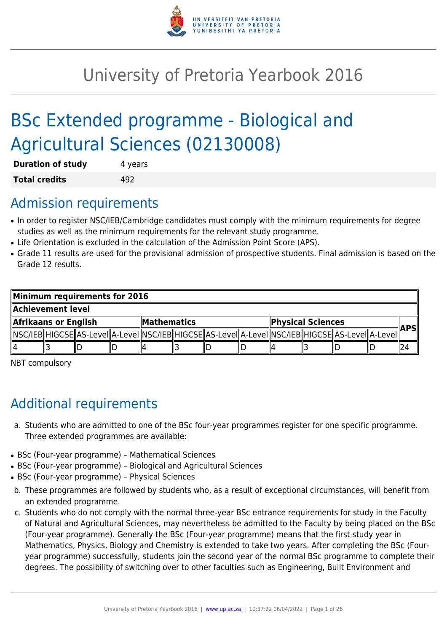

# University of Pretoria Yearbook 2016

# BSc Extended programme - Biological and Agricultural Sciences (02130008)

| <b>Duration of study</b> | 4 years |
|--------------------------|---------|
| <b>Total credits</b>     | 492     |

# Admission requirements

- In order to register NSC/IEB/Cambridge candidates must comply with the minimum requirements for degree studies as well as the minimum requirements for the relevant study programme.
- Life Orientation is excluded in the calculation of the Admission Point Score (APS).
- Grade 11 results are used for the provisional admission of prospective students. Final admission is based on the Grade 12 results.

| Minimum requirements for 2016 |  |  |                    |  |  |                          |  |  |     |                                                                                                            |  |  |
|-------------------------------|--|--|--------------------|--|--|--------------------------|--|--|-----|------------------------------------------------------------------------------------------------------------|--|--|
| Achievement level.!!          |  |  |                    |  |  |                          |  |  |     |                                                                                                            |  |  |
| Afrikaans or English          |  |  | <b>Mathematics</b> |  |  | <b>Physical Sciences</b> |  |  | APS |                                                                                                            |  |  |
|                               |  |  |                    |  |  |                          |  |  |     | NSC/IEB  HIGCSE  AS-LeveI  A-LeveI  NSC/IEB  HIGCSE  AS-LeveI  A-LeveI  NSC/IEB  HIGCSE  AS-LeveI  A-LeveI |  |  |
| ll4                           |  |  |                    |  |  |                          |  |  |     |                                                                                                            |  |  |

NBT compulsory

# Additional requirements

- a. Students who are admitted to one of the BSc four-year programmes register for one specific programme. Three extended programmes are available:
- BSc (Four-year programme) Mathematical Sciences
- BSc (Four-year programme) Biological and Agricultural Sciences
- BSc (Four-year programme) Physical Sciences
- b. These programmes are followed by students who, as a result of exceptional circumstances, will benefit from an extended programme.
- c. Students who do not comply with the normal three-year BSc entrance requirements for study in the Faculty of Natural and Agricultural Sciences, may nevertheless be admitted to the Faculty by being placed on the BSc (Four-year programme). Generally the BSc (Four-year programme) means that the first study year in Mathematics, Physics, Biology and Chemistry is extended to take two years. After completing the BSc (Fouryear programme) successfully, students join the second year of the normal BSc programme to complete their degrees. The possibility of switching over to other faculties such as Engineering, Built Environment and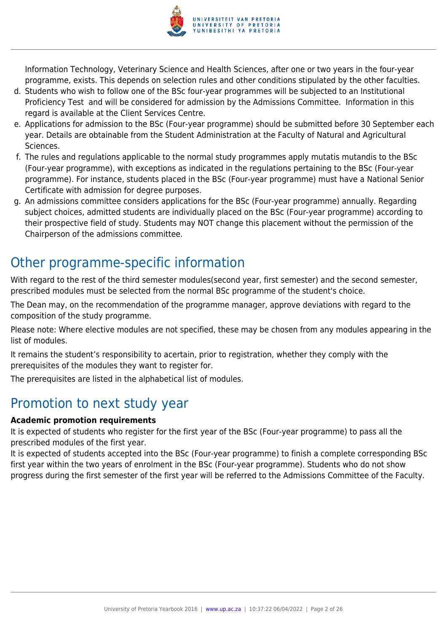

Information Technology, Veterinary Science and Health Sciences, after one or two years in the four-year programme, exists. This depends on selection rules and other conditions stipulated by the other faculties.

- d. Students who wish to follow one of the BSc four-year programmes will be subjected to an Institutional Proficiency Test and will be considered for admission by the Admissions Committee. Information in this regard is available at the Client Services Centre.
- e. Applications for admission to the BSc (Four-year programme) should be submitted before 30 September each year. Details are obtainable from the Student Administration at the Faculty of Natural and Agricultural Sciences.
- f. The rules and regulations applicable to the normal study programmes apply mutatis mutandis to the BSc (Four-year programme), with exceptions as indicated in the regulations pertaining to the BSc (Four-year programme). For instance, students placed in the BSc (Four-year programme) must have a National Senior Certificate with admission for degree purposes.
- g. An admissions committee considers applications for the BSc (Four-year programme) annually. Regarding subject choices, admitted students are individually placed on the BSc (Four-year programme) according to their prospective field of study. Students may NOT change this placement without the permission of the Chairperson of the admissions committee.

# Other programme-specific information

With regard to the rest of the third semester modules(second year, first semester) and the second semester, prescribed modules must be selected from the normal BSc programme of the student's choice.

The Dean may, on the recommendation of the programme manager, approve deviations with regard to the composition of the study programme.

Please note: Where elective modules are not specified, these may be chosen from any modules appearing in the list of modules.

It remains the student's responsibility to acertain, prior to registration, whether they comply with the prerequisites of the modules they want to register for.

The prerequisites are listed in the alphabetical list of modules.

# Promotion to next study year

# **Academic promotion requirements**

It is expected of students who register for the first year of the BSc (Four-year programme) to pass all the prescribed modules of the first year.

It is expected of students accepted into the BSc (Four-year programme) to finish a complete corresponding BSc first year within the two years of enrolment in the BSc (Four-year programme). Students who do not show progress during the first semester of the first year will be referred to the Admissions Committee of the Faculty.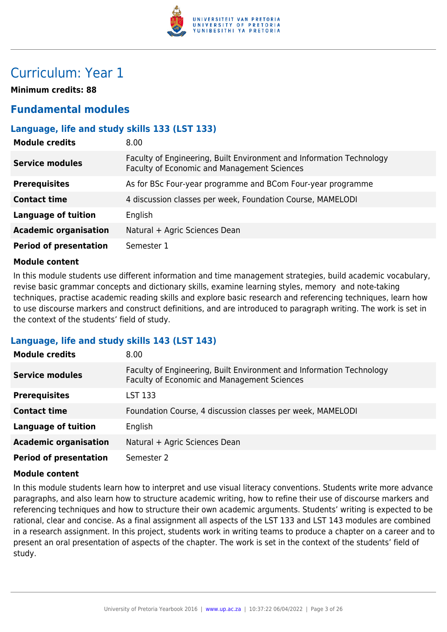

# Curriculum: Year 1

**Minimum credits: 88**

# **Fundamental modules**

# **Language, life and study skills 133 (LST 133)**

| <b>Module credits</b>         | 8.00                                                                                                                |
|-------------------------------|---------------------------------------------------------------------------------------------------------------------|
| <b>Service modules</b>        | Faculty of Engineering, Built Environment and Information Technology<br>Faculty of Economic and Management Sciences |
| <b>Prerequisites</b>          | As for BSc Four-year programme and BCom Four-year programme                                                         |
| <b>Contact time</b>           | 4 discussion classes per week, Foundation Course, MAMELODI                                                          |
| <b>Language of tuition</b>    | English                                                                                                             |
| <b>Academic organisation</b>  | Natural + Agric Sciences Dean                                                                                       |
| <b>Period of presentation</b> | Semester 1                                                                                                          |

#### **Module content**

In this module students use different information and time management strategies, build academic vocabulary, revise basic grammar concepts and dictionary skills, examine learning styles, memory and note-taking techniques, practise academic reading skills and explore basic research and referencing techniques, learn how to use discourse markers and construct definitions, and are introduced to paragraph writing. The work is set in the context of the students' field of study.

## **Language, life and study skills 143 (LST 143)**

| <b>Module credits</b>         | 8.00                                                                                                                |
|-------------------------------|---------------------------------------------------------------------------------------------------------------------|
| <b>Service modules</b>        | Faculty of Engineering, Built Environment and Information Technology<br>Faculty of Economic and Management Sciences |
| <b>Prerequisites</b>          | LST 133                                                                                                             |
| <b>Contact time</b>           | Foundation Course, 4 discussion classes per week, MAMELODI                                                          |
| <b>Language of tuition</b>    | English                                                                                                             |
| <b>Academic organisation</b>  | Natural + Agric Sciences Dean                                                                                       |
| <b>Period of presentation</b> | Semester 2                                                                                                          |

#### **Module content**

In this module students learn how to interpret and use visual literacy conventions. Students write more advance paragraphs, and also learn how to structure academic writing, how to refine their use of discourse markers and referencing techniques and how to structure their own academic arguments. Students' writing is expected to be rational, clear and concise. As a final assignment all aspects of the LST 133 and LST 143 modules are combined in a research assignment. In this project, students work in writing teams to produce a chapter on a career and to present an oral presentation of aspects of the chapter. The work is set in the context of the students' field of study.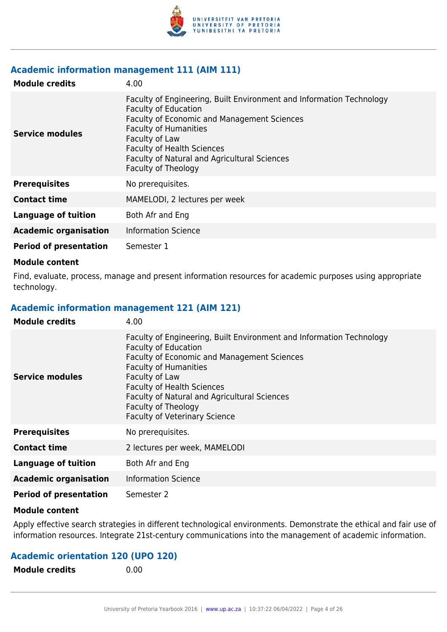

#### **Academic information management 111 (AIM 111)**

| <b>Module credits</b>         | 4.00                                                                                                                                                                                                                                                                                                             |
|-------------------------------|------------------------------------------------------------------------------------------------------------------------------------------------------------------------------------------------------------------------------------------------------------------------------------------------------------------|
| Service modules               | Faculty of Engineering, Built Environment and Information Technology<br><b>Faculty of Education</b><br>Faculty of Economic and Management Sciences<br><b>Faculty of Humanities</b><br>Faculty of Law<br><b>Faculty of Health Sciences</b><br>Faculty of Natural and Agricultural Sciences<br>Faculty of Theology |
| <b>Prerequisites</b>          | No prerequisites.                                                                                                                                                                                                                                                                                                |
| <b>Contact time</b>           | MAMELODI, 2 lectures per week                                                                                                                                                                                                                                                                                    |
| Language of tuition           | Both Afr and Eng                                                                                                                                                                                                                                                                                                 |
| <b>Academic organisation</b>  | <b>Information Science</b>                                                                                                                                                                                                                                                                                       |
| <b>Period of presentation</b> | Semester 1                                                                                                                                                                                                                                                                                                       |

#### **Module content**

Find, evaluate, process, manage and present information resources for academic purposes using appropriate technology.

#### **Academic information management 121 (AIM 121)**

| <b>Module credits</b>         | 4.00                                                                                                                                                                                                                                                                                                                                                                   |
|-------------------------------|------------------------------------------------------------------------------------------------------------------------------------------------------------------------------------------------------------------------------------------------------------------------------------------------------------------------------------------------------------------------|
| <b>Service modules</b>        | Faculty of Engineering, Built Environment and Information Technology<br><b>Faculty of Education</b><br><b>Faculty of Economic and Management Sciences</b><br><b>Faculty of Humanities</b><br>Faculty of Law<br><b>Faculty of Health Sciences</b><br><b>Faculty of Natural and Agricultural Sciences</b><br>Faculty of Theology<br><b>Faculty of Veterinary Science</b> |
| <b>Prerequisites</b>          | No prerequisites.                                                                                                                                                                                                                                                                                                                                                      |
| <b>Contact time</b>           | 2 lectures per week, MAMELODI                                                                                                                                                                                                                                                                                                                                          |
| <b>Language of tuition</b>    | Both Afr and Eng                                                                                                                                                                                                                                                                                                                                                       |
| <b>Academic organisation</b>  | <b>Information Science</b>                                                                                                                                                                                                                                                                                                                                             |
| <b>Period of presentation</b> | Semester 2                                                                                                                                                                                                                                                                                                                                                             |

#### **Module content**

Apply effective search strategies in different technological environments. Demonstrate the ethical and fair use of information resources. Integrate 21st-century communications into the management of academic information.

# **Academic orientation 120 (UPO 120)**

**Module credits** 0.00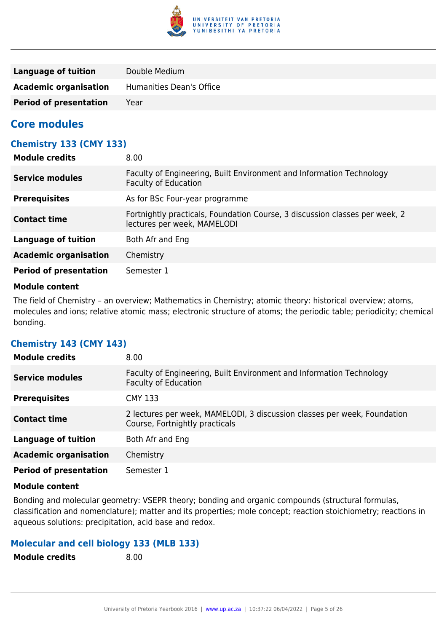

| Language of tuition           | Double Medium            |
|-------------------------------|--------------------------|
| <b>Academic organisation</b>  | Humanities Dean's Office |
| <b>Period of presentation</b> | Year                     |

# **Core modules**

# **Chemistry 133 (CMY 133)**

| <b>Module credits</b>         | 8.00                                                                                                       |
|-------------------------------|------------------------------------------------------------------------------------------------------------|
| Service modules               | Faculty of Engineering, Built Environment and Information Technology<br><b>Faculty of Education</b>        |
| <b>Prerequisites</b>          | As for BSc Four-year programme                                                                             |
| <b>Contact time</b>           | Fortnightly practicals, Foundation Course, 3 discussion classes per week, 2<br>lectures per week, MAMELODI |
| <b>Language of tuition</b>    | Both Afr and Eng                                                                                           |
| <b>Academic organisation</b>  | Chemistry                                                                                                  |
| <b>Period of presentation</b> | Semester 1                                                                                                 |

#### **Module content**

The field of Chemistry – an overview; Mathematics in Chemistry; atomic theory: historical overview; atoms, molecules and ions; relative atomic mass; electronic structure of atoms; the periodic table; periodicity; chemical bonding.

# **Chemistry 143 (CMY 143)**

| <b>Module credits</b>         | 8.00                                                                                                       |
|-------------------------------|------------------------------------------------------------------------------------------------------------|
| <b>Service modules</b>        | Faculty of Engineering, Built Environment and Information Technology<br><b>Faculty of Education</b>        |
| <b>Prerequisites</b>          | <b>CMY 133</b>                                                                                             |
| <b>Contact time</b>           | 2 lectures per week, MAMELODI, 3 discussion classes per week, Foundation<br>Course, Fortnightly practicals |
| <b>Language of tuition</b>    | Both Afr and Eng                                                                                           |
| <b>Academic organisation</b>  | Chemistry                                                                                                  |
| <b>Period of presentation</b> | Semester 1                                                                                                 |

#### **Module content**

Bonding and molecular geometry: VSEPR theory; bonding and organic compounds (structural formulas, classification and nomenclature); matter and its properties; mole concept; reaction stoichiometry; reactions in aqueous solutions: precipitation, acid base and redox.

# **Molecular and cell biology 133 (MLB 133)**

**Module credits** 8.00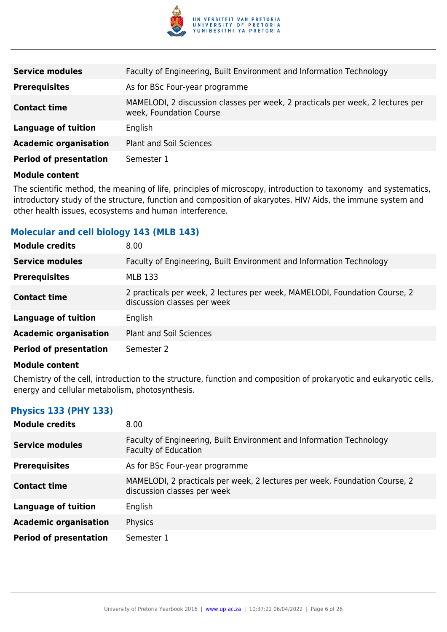

| <b>Service modules</b>        | Faculty of Engineering, Built Environment and Information Technology                                      |
|-------------------------------|-----------------------------------------------------------------------------------------------------------|
| <b>Prerequisites</b>          | As for BSc Four-year programme                                                                            |
| <b>Contact time</b>           | MAMELODI, 2 discussion classes per week, 2 practicals per week, 2 lectures per<br>week, Foundation Course |
| Language of tuition           | English                                                                                                   |
| <b>Academic organisation</b>  | <b>Plant and Soil Sciences</b>                                                                            |
| <b>Period of presentation</b> | Semester 1                                                                                                |

The scientific method, the meaning of life, principles of microscopy, introduction to taxonomy and systematics, introductory study of the structure, function and composition of akaryotes, HIV/ Aids, the immune system and other health issues, ecosystems and human interference.

## **Molecular and cell biology 143 (MLB 143)**

| <b>Module credits</b>         | 8.00                                                                                                      |
|-------------------------------|-----------------------------------------------------------------------------------------------------------|
| <b>Service modules</b>        | Faculty of Engineering, Built Environment and Information Technology                                      |
| <b>Prerequisites</b>          | <b>MLB 133</b>                                                                                            |
| <b>Contact time</b>           | 2 practicals per week, 2 lectures per week, MAMELODI, Foundation Course, 2<br>discussion classes per week |
| <b>Language of tuition</b>    | English                                                                                                   |
| <b>Academic organisation</b>  | <b>Plant and Soil Sciences</b>                                                                            |
| <b>Period of presentation</b> | Semester 2                                                                                                |

#### **Module content**

Chemistry of the cell, introduction to the structure, function and composition of prokaryotic and eukaryotic cells, energy and cellular metabolism, photosynthesis.

# **Physics 133 (PHY 133)**

| <b>Module credits</b>         | 8.00                                                                                                      |
|-------------------------------|-----------------------------------------------------------------------------------------------------------|
| <b>Service modules</b>        | Faculty of Engineering, Built Environment and Information Technology<br><b>Faculty of Education</b>       |
| <b>Prerequisites</b>          | As for BSc Four-year programme                                                                            |
| <b>Contact time</b>           | MAMELODI, 2 practicals per week, 2 lectures per week, Foundation Course, 2<br>discussion classes per week |
| <b>Language of tuition</b>    | English                                                                                                   |
| <b>Academic organisation</b>  | Physics                                                                                                   |
| <b>Period of presentation</b> | Semester 1                                                                                                |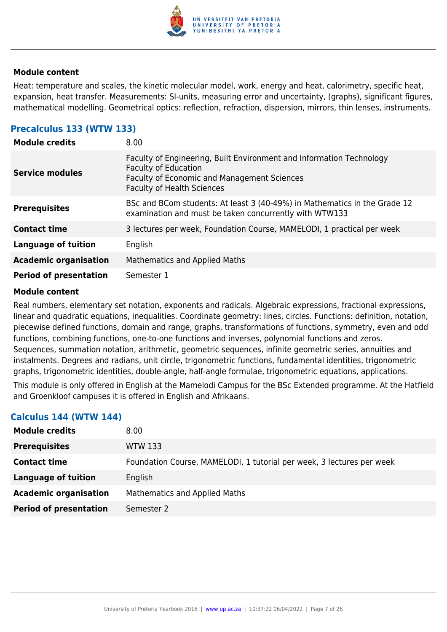

Heat: temperature and scales, the kinetic molecular model, work, energy and heat, calorimetry, specific heat, expansion, heat transfer. Measurements: SI-units, measuring error and uncertainty, (graphs), significant figures, mathematical modelling. Geometrical optics: reflection, refraction, dispersion, mirrors, thin lenses, instruments.

# **Precalculus 133 (WTW 133)**

| <b>Module credits</b>         | 8.00                                                                                                                                                                                           |
|-------------------------------|------------------------------------------------------------------------------------------------------------------------------------------------------------------------------------------------|
| <b>Service modules</b>        | Faculty of Engineering, Built Environment and Information Technology<br><b>Faculty of Education</b><br><b>Faculty of Economic and Management Sciences</b><br><b>Faculty of Health Sciences</b> |
| <b>Prerequisites</b>          | BSc and BCom students: At least 3 (40-49%) in Mathematics in the Grade 12<br>examination and must be taken concurrently with WTW133                                                            |
| <b>Contact time</b>           | 3 lectures per week, Foundation Course, MAMELODI, 1 practical per week                                                                                                                         |
| <b>Language of tuition</b>    | English                                                                                                                                                                                        |
| <b>Academic organisation</b>  | <b>Mathematics and Applied Maths</b>                                                                                                                                                           |
| <b>Period of presentation</b> | Semester 1                                                                                                                                                                                     |

#### **Module content**

Real numbers, elementary set notation, exponents and radicals. Algebraic expressions, fractional expressions, linear and quadratic equations, inequalities. Coordinate geometry: lines, circles. Functions: definition, notation, piecewise defined functions, domain and range, graphs, transformations of functions, symmetry, even and odd functions, combining functions, one-to-one functions and inverses, polynomial functions and zeros. Sequences, summation notation, arithmetic, geometric sequences, infinite geometric series, annuities and instalments. Degrees and radians, unit circle, trigonometric functions, fundamental identities, trigonometric graphs, trigonometric identities, double-angle, half-angle formulae, trigonometric equations, applications.

This module is only offered in English at the Mamelodi Campus for the BSc Extended programme. At the Hatfield and Groenkloof campuses it is offered in English and Afrikaans.

| CUICUIUS <del>ATT</del> (IIIII <del>ATT</del> ) |                                                                       |
|-------------------------------------------------|-----------------------------------------------------------------------|
| <b>Module credits</b>                           | 8.00 <sub>1</sub>                                                     |
| <b>Prerequisites</b>                            | <b>WTW 133</b>                                                        |
| <b>Contact time</b>                             | Foundation Course, MAMELODI, 1 tutorial per week, 3 lectures per week |
| <b>Language of tuition</b>                      | English                                                               |
| <b>Academic organisation</b>                    | <b>Mathematics and Applied Maths</b>                                  |
| <b>Period of presentation</b>                   | Semester 2                                                            |

# **Calculus 144 (WTW 144)**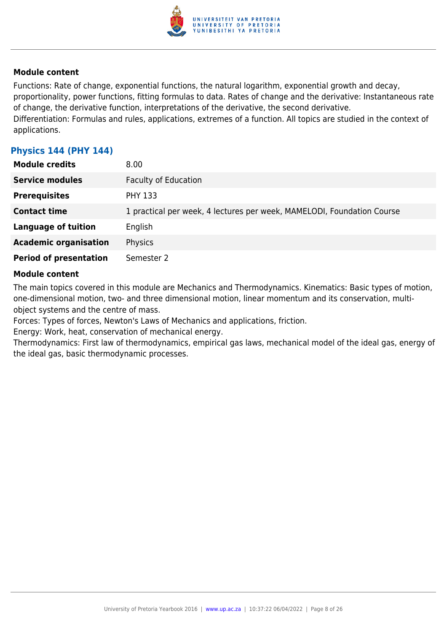

Functions: Rate of change, exponential functions, the natural logarithm, exponential growth and decay, proportionality, power functions, fitting formulas to data. Rates of change and the derivative: Instantaneous rate of change, the derivative function, interpretations of the derivative, the second derivative. Differentiation: Formulas and rules, applications, extremes of a function. All topics are studied in the context of applications.

# **Physics 144 (PHY 144)**

| <b>Module credits</b>         | 8.00                                                                   |
|-------------------------------|------------------------------------------------------------------------|
| <b>Service modules</b>        | <b>Faculty of Education</b>                                            |
| <b>Prerequisites</b>          | <b>PHY 133</b>                                                         |
| <b>Contact time</b>           | 1 practical per week, 4 lectures per week, MAMELODI, Foundation Course |
| <b>Language of tuition</b>    | English                                                                |
| <b>Academic organisation</b>  | Physics                                                                |
| <b>Period of presentation</b> | Semester 2                                                             |

#### **Module content**

The main topics covered in this module are Mechanics and Thermodynamics. Kinematics: Basic types of motion, one-dimensional motion, two- and three dimensional motion, linear momentum and its conservation, multiobject systems and the centre of mass.

Forces: Types of forces, Newton's Laws of Mechanics and applications, friction.

Energy: Work, heat, conservation of mechanical energy.

Thermodynamics: First law of thermodynamics, empirical gas laws, mechanical model of the ideal gas, energy of the ideal gas, basic thermodynamic processes.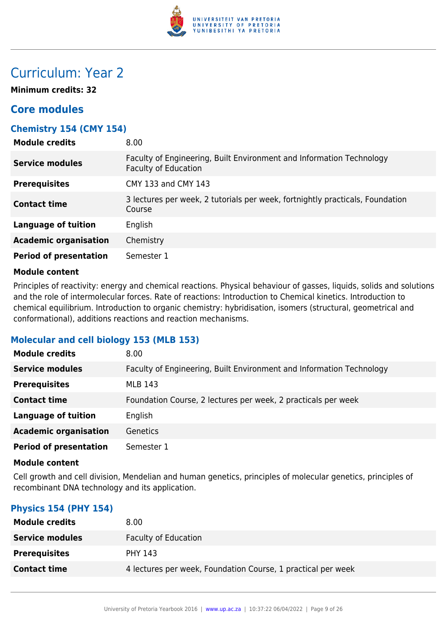

# Curriculum: Year 2

**Minimum credits: 32**

# **Core modules**

# **Chemistry 154 (CMY 154)**

| <b>Module credits</b>         | 8.00                                                                                                |
|-------------------------------|-----------------------------------------------------------------------------------------------------|
| <b>Service modules</b>        | Faculty of Engineering, Built Environment and Information Technology<br><b>Faculty of Education</b> |
| <b>Prerequisites</b>          | CMY 133 and CMY 143                                                                                 |
| <b>Contact time</b>           | 3 lectures per week, 2 tutorials per week, fortnightly practicals, Foundation<br>Course             |
| <b>Language of tuition</b>    | English                                                                                             |
| <b>Academic organisation</b>  | Chemistry                                                                                           |
| <b>Period of presentation</b> | Semester 1                                                                                          |

#### **Module content**

Principles of reactivity: energy and chemical reactions. Physical behaviour of gasses, liquids, solids and solutions and the role of intermolecular forces. Rate of reactions: Introduction to Chemical kinetics. Introduction to chemical equilibrium. Introduction to organic chemistry: hybridisation, isomers (structural, geometrical and conformational), additions reactions and reaction mechanisms.

# **Molecular and cell biology 153 (MLB 153)**

| <b>Module credits</b>         | 8.00                                                                 |
|-------------------------------|----------------------------------------------------------------------|
| <b>Service modules</b>        | Faculty of Engineering, Built Environment and Information Technology |
| <b>Prerequisites</b>          | <b>MLB 143</b>                                                       |
| <b>Contact time</b>           | Foundation Course, 2 lectures per week, 2 practicals per week        |
| <b>Language of tuition</b>    | English                                                              |
| <b>Academic organisation</b>  | <b>Genetics</b>                                                      |
| <b>Period of presentation</b> | Semester 1                                                           |

#### **Module content**

Cell growth and cell division, Mendelian and human genetics, principles of molecular genetics, principles of recombinant DNA technology and its application.

# **Physics 154 (PHY 154)**

| <b>Module credits</b>  | 8.00                                                         |
|------------------------|--------------------------------------------------------------|
| <b>Service modules</b> | <b>Faculty of Education</b>                                  |
| <b>Prerequisites</b>   | <b>PHY 143</b>                                               |
| <b>Contact time</b>    | 4 lectures per week, Foundation Course, 1 practical per week |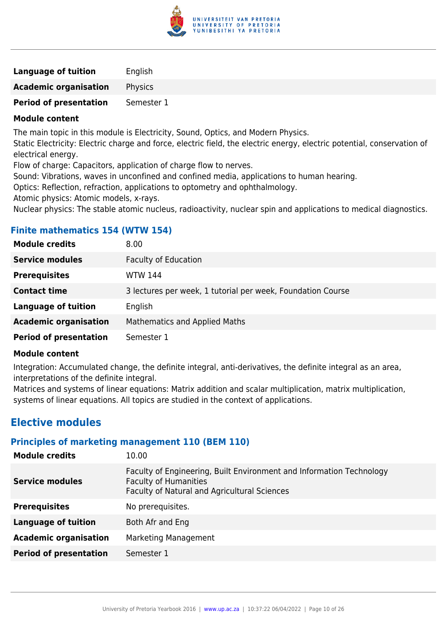

| <b>Language of tuition</b>    | English    |
|-------------------------------|------------|
| <b>Academic organisation</b>  | Physics    |
| <b>Period of presentation</b> | Semester 1 |

The main topic in this module is Electricity, Sound, Optics, and Modern Physics.

Static Electricity: Electric charge and force, electric field, the electric energy, electric potential, conservation of electrical energy.

Flow of charge: Capacitors, application of charge flow to nerves.

Sound: Vibrations, waves in unconfined and confined media, applications to human hearing.

Optics: Reflection, refraction, applications to optometry and ophthalmology.

Atomic physics: Atomic models, x-rays.

Nuclear physics: The stable atomic nucleus, radioactivity, nuclear spin and applications to medical diagnostics.

| <b>Module credits</b>         | 8.00                                                        |
|-------------------------------|-------------------------------------------------------------|
| <b>Service modules</b>        | <b>Faculty of Education</b>                                 |
| <b>Prerequisites</b>          | WTW 144                                                     |
| <b>Contact time</b>           | 3 lectures per week, 1 tutorial per week, Foundation Course |
| <b>Language of tuition</b>    | English                                                     |
| <b>Academic organisation</b>  | <b>Mathematics and Applied Maths</b>                        |
| <b>Period of presentation</b> | Semester 1                                                  |
|                               |                                                             |

# **Finite mathematics 154 (WTW 154)**

## **Module content**

Integration: Accumulated change, the definite integral, anti-derivatives, the definite integral as an area, interpretations of the definite integral.

Matrices and systems of linear equations: Matrix addition and scalar multiplication, matrix multiplication, systems of linear equations. All topics are studied in the context of applications.

# **Elective modules**

# **Principles of marketing management 110 (BEM 110)**

| <b>Module credits</b>         | 10.00                                                                                                                                                |
|-------------------------------|------------------------------------------------------------------------------------------------------------------------------------------------------|
| <b>Service modules</b>        | Faculty of Engineering, Built Environment and Information Technology<br><b>Faculty of Humanities</b><br>Faculty of Natural and Agricultural Sciences |
| <b>Prerequisites</b>          | No prerequisites.                                                                                                                                    |
| Language of tuition           | Both Afr and Eng                                                                                                                                     |
| <b>Academic organisation</b>  | <b>Marketing Management</b>                                                                                                                          |
| <b>Period of presentation</b> | Semester 1                                                                                                                                           |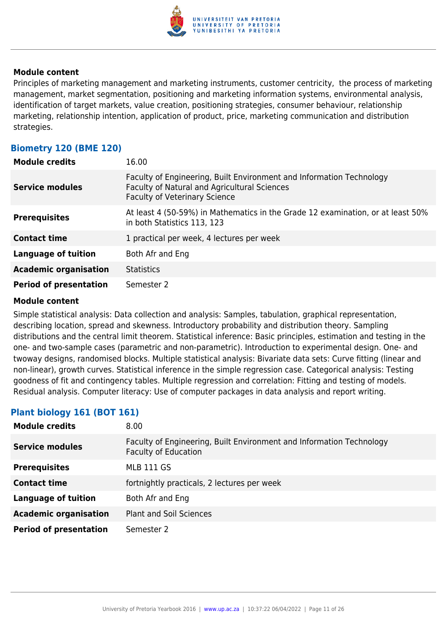

Principles of marketing management and marketing instruments, customer centricity, the process of marketing management, market segmentation, positioning and marketing information systems, environmental analysis, identification of target markets, value creation, positioning strategies, consumer behaviour, relationship marketing, relationship intention, application of product, price, marketing communication and distribution strategies.

# **Biometry 120 (BME 120)**

| <b>Module credits</b>         | 16.00                                                                                                                                                        |
|-------------------------------|--------------------------------------------------------------------------------------------------------------------------------------------------------------|
| <b>Service modules</b>        | Faculty of Engineering, Built Environment and Information Technology<br>Faculty of Natural and Agricultural Sciences<br><b>Faculty of Veterinary Science</b> |
| <b>Prerequisites</b>          | At least 4 (50-59%) in Mathematics in the Grade 12 examination, or at least 50%<br>in both Statistics 113, 123                                               |
| <b>Contact time</b>           | 1 practical per week, 4 lectures per week                                                                                                                    |
| Language of tuition           | Both Afr and Eng                                                                                                                                             |
| <b>Academic organisation</b>  | <b>Statistics</b>                                                                                                                                            |
| <b>Period of presentation</b> | Semester 2                                                                                                                                                   |

#### **Module content**

Simple statistical analysis: Data collection and analysis: Samples, tabulation, graphical representation, describing location, spread and skewness. Introductory probability and distribution theory. Sampling distributions and the central limit theorem. Statistical inference: Basic principles, estimation and testing in the one- and two-sample cases (parametric and non-parametric). Introduction to experimental design. One- and twoway designs, randomised blocks. Multiple statistical analysis: Bivariate data sets: Curve fitting (linear and non-linear), growth curves. Statistical inference in the simple regression case. Categorical analysis: Testing goodness of fit and contingency tables. Multiple regression and correlation: Fitting and testing of models. Residual analysis. Computer literacy: Use of computer packages in data analysis and report writing.

# **Plant biology 161 (BOT 161)**

| <b>Module credits</b>         | 8.00                                                                                                |
|-------------------------------|-----------------------------------------------------------------------------------------------------|
| Service modules               | Faculty of Engineering, Built Environment and Information Technology<br><b>Faculty of Education</b> |
| <b>Prerequisites</b>          | <b>MLB 111 GS</b>                                                                                   |
| <b>Contact time</b>           | fortnightly practicals, 2 lectures per week                                                         |
| <b>Language of tuition</b>    | Both Afr and Eng                                                                                    |
| <b>Academic organisation</b>  | <b>Plant and Soil Sciences</b>                                                                      |
| <b>Period of presentation</b> | Semester 2                                                                                          |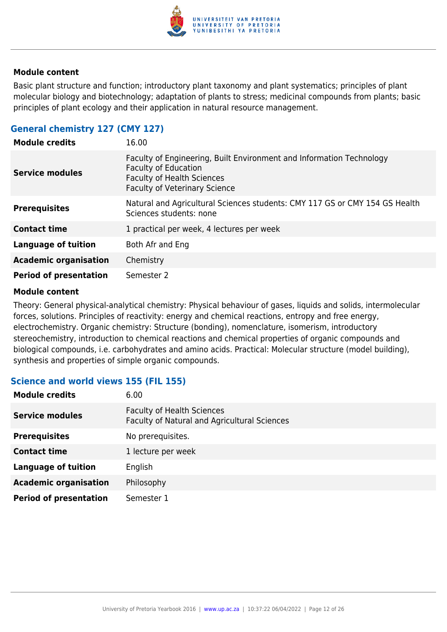

Basic plant structure and function; introductory plant taxonomy and plant systematics; principles of plant molecular biology and biotechnology; adaptation of plants to stress; medicinal compounds from plants; basic principles of plant ecology and their application in natural resource management.

# **General chemistry 127 (CMY 127)**

| <b>Module credits</b>         | 16.00                                                                                                                                                                            |
|-------------------------------|----------------------------------------------------------------------------------------------------------------------------------------------------------------------------------|
| <b>Service modules</b>        | Faculty of Engineering, Built Environment and Information Technology<br><b>Faculty of Education</b><br><b>Faculty of Health Sciences</b><br><b>Faculty of Veterinary Science</b> |
| <b>Prerequisites</b>          | Natural and Agricultural Sciences students: CMY 117 GS or CMY 154 GS Health<br>Sciences students: none                                                                           |
| <b>Contact time</b>           | 1 practical per week, 4 lectures per week                                                                                                                                        |
| <b>Language of tuition</b>    | Both Afr and Eng                                                                                                                                                                 |
| <b>Academic organisation</b>  | Chemistry                                                                                                                                                                        |
| <b>Period of presentation</b> | Semester 2                                                                                                                                                                       |

#### **Module content**

Theory: General physical-analytical chemistry: Physical behaviour of gases, liquids and solids, intermolecular forces, solutions. Principles of reactivity: energy and chemical reactions, entropy and free energy, electrochemistry. Organic chemistry: Structure (bonding), nomenclature, isomerism, introductory stereochemistry, introduction to chemical reactions and chemical properties of organic compounds and biological compounds, i.e. carbohydrates and amino acids. Practical: Molecular structure (model building), synthesis and properties of simple organic compounds.

# **Science and world views 155 (FIL 155)**

| <b>Module credits</b>         | 6.00                                                                              |
|-------------------------------|-----------------------------------------------------------------------------------|
| <b>Service modules</b>        | <b>Faculty of Health Sciences</b><br>Faculty of Natural and Agricultural Sciences |
| <b>Prerequisites</b>          | No prerequisites.                                                                 |
| <b>Contact time</b>           | 1 lecture per week                                                                |
| <b>Language of tuition</b>    | English                                                                           |
| <b>Academic organisation</b>  | Philosophy                                                                        |
| <b>Period of presentation</b> | Semester 1                                                                        |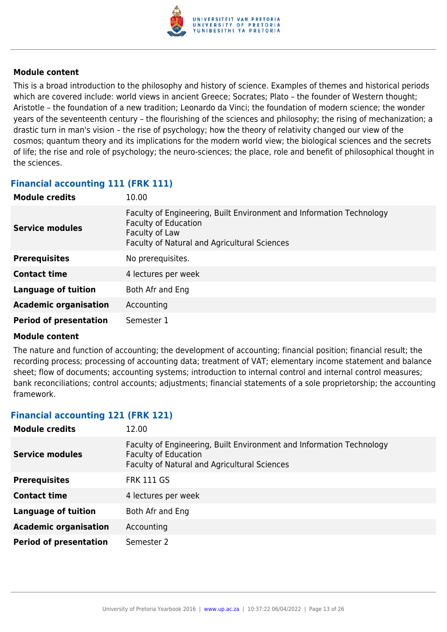

This is a broad introduction to the philosophy and history of science. Examples of themes and historical periods which are covered include: world views in ancient Greece; Socrates; Plato – the founder of Western thought; Aristotle – the foundation of a new tradition; Leonardo da Vinci; the foundation of modern science; the wonder years of the seventeenth century – the flourishing of the sciences and philosophy; the rising of mechanization; a drastic turn in man's vision – the rise of psychology; how the theory of relativity changed our view of the cosmos; quantum theory and its implications for the modern world view; the biological sciences and the secrets of life; the rise and role of psychology; the neuro-sciences; the place, role and benefit of philosophical thought in the sciences.

# **Financial accounting 111 (FRK 111)**

| <b>Module credits</b>         | 10.00                                                                                                                                                                 |
|-------------------------------|-----------------------------------------------------------------------------------------------------------------------------------------------------------------------|
| Service modules               | Faculty of Engineering, Built Environment and Information Technology<br><b>Faculty of Education</b><br>Faculty of Law<br>Faculty of Natural and Agricultural Sciences |
| <b>Prerequisites</b>          | No prerequisites.                                                                                                                                                     |
| <b>Contact time</b>           | 4 lectures per week                                                                                                                                                   |
| <b>Language of tuition</b>    | Both Afr and Eng                                                                                                                                                      |
| <b>Academic organisation</b>  | Accounting                                                                                                                                                            |
| <b>Period of presentation</b> | Semester 1                                                                                                                                                            |

#### **Module content**

The nature and function of accounting; the development of accounting; financial position; financial result; the recording process; processing of accounting data; treatment of VAT; elementary income statement and balance sheet; flow of documents; accounting systems; introduction to internal control and internal control measures; bank reconciliations; control accounts; adjustments; financial statements of a sole proprietorship; the accounting framework.

# **Financial accounting 121 (FRK 121)**

| <b>Module credits</b>         | 12.00                                                                                                                                                      |
|-------------------------------|------------------------------------------------------------------------------------------------------------------------------------------------------------|
| <b>Service modules</b>        | Faculty of Engineering, Built Environment and Information Technology<br><b>Faculty of Education</b><br><b>Faculty of Natural and Agricultural Sciences</b> |
| <b>Prerequisites</b>          | <b>FRK 111 GS</b>                                                                                                                                          |
| <b>Contact time</b>           | 4 lectures per week                                                                                                                                        |
| <b>Language of tuition</b>    | Both Afr and Eng                                                                                                                                           |
| <b>Academic organisation</b>  | Accounting                                                                                                                                                 |
| <b>Period of presentation</b> | Semester 2                                                                                                                                                 |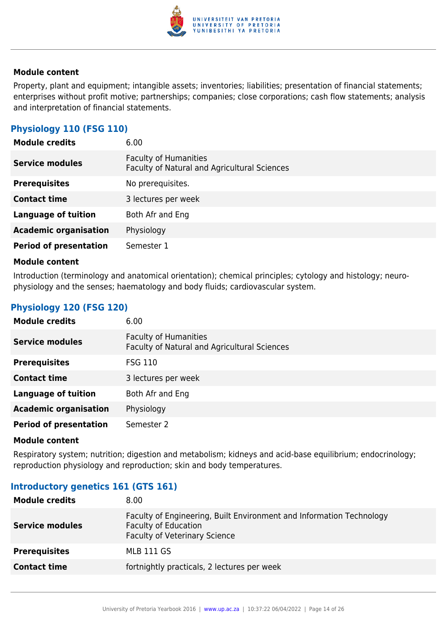

Property, plant and equipment; intangible assets; inventories; liabilities; presentation of financial statements; enterprises without profit motive; partnerships; companies; close corporations; cash flow statements; analysis and interpretation of financial statements.

# **Physiology 110 (FSG 110)**

| <b>Module credits</b>         | 6.00                                                                         |
|-------------------------------|------------------------------------------------------------------------------|
| <b>Service modules</b>        | <b>Faculty of Humanities</b><br>Faculty of Natural and Agricultural Sciences |
| <b>Prerequisites</b>          | No prerequisites.                                                            |
| <b>Contact time</b>           | 3 lectures per week                                                          |
| <b>Language of tuition</b>    | Both Afr and Eng                                                             |
| <b>Academic organisation</b>  | Physiology                                                                   |
| <b>Period of presentation</b> | Semester 1                                                                   |

#### **Module content**

Introduction (terminology and anatomical orientation); chemical principles; cytology and histology; neurophysiology and the senses; haematology and body fluids; cardiovascular system.

# **Physiology 120 (FSG 120)**

| <b>Module credits</b>         | 6.00                                                                         |
|-------------------------------|------------------------------------------------------------------------------|
| <b>Service modules</b>        | <b>Faculty of Humanities</b><br>Faculty of Natural and Agricultural Sciences |
| <b>Prerequisites</b>          | <b>FSG 110</b>                                                               |
| <b>Contact time</b>           | 3 lectures per week                                                          |
| <b>Language of tuition</b>    | Both Afr and Eng                                                             |
| <b>Academic organisation</b>  | Physiology                                                                   |
| <b>Period of presentation</b> | Semester 2                                                                   |

#### **Module content**

Respiratory system; nutrition; digestion and metabolism; kidneys and acid-base equilibrium; endocrinology; reproduction physiology and reproduction; skin and body temperatures.

## **Introductory genetics 161 (GTS 161)**

| <b>Module credits</b>  | 8.00                                                                                                                                        |
|------------------------|---------------------------------------------------------------------------------------------------------------------------------------------|
| <b>Service modules</b> | Faculty of Engineering, Built Environment and Information Technology<br><b>Faculty of Education</b><br><b>Faculty of Veterinary Science</b> |
| <b>Prerequisites</b>   | MLB 111 GS                                                                                                                                  |
| <b>Contact time</b>    | fortnightly practicals, 2 lectures per week                                                                                                 |
|                        |                                                                                                                                             |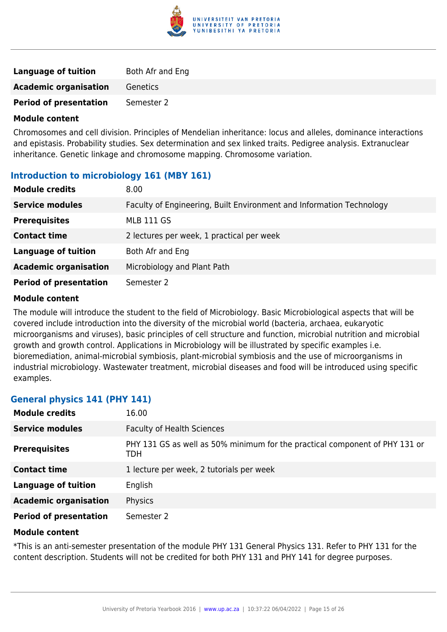

| Language of tuition           | Both Afr and Eng |
|-------------------------------|------------------|
| <b>Academic organisation</b>  | Genetics         |
| <b>Period of presentation</b> | Semester 2       |

Chromosomes and cell division. Principles of Mendelian inheritance: locus and alleles, dominance interactions and epistasis. Probability studies. Sex determination and sex linked traits. Pedigree analysis. Extranuclear inheritance. Genetic linkage and chromosome mapping. Chromosome variation.

# **Introduction to microbiology 161 (MBY 161)**

| <b>Module credits</b>         | 8.00                                                                 |
|-------------------------------|----------------------------------------------------------------------|
| <b>Service modules</b>        | Faculty of Engineering, Built Environment and Information Technology |
| <b>Prerequisites</b>          | <b>MLB 111 GS</b>                                                    |
| <b>Contact time</b>           | 2 lectures per week, 1 practical per week                            |
| <b>Language of tuition</b>    | Both Afr and Eng                                                     |
| <b>Academic organisation</b>  | Microbiology and Plant Path                                          |
| <b>Period of presentation</b> | Semester 2                                                           |

#### **Module content**

The module will introduce the student to the field of Microbiology. Basic Microbiological aspects that will be covered include introduction into the diversity of the microbial world (bacteria, archaea, eukaryotic microorganisms and viruses), basic principles of cell structure and function, microbial nutrition and microbial growth and growth control. Applications in Microbiology will be illustrated by specific examples i.e. bioremediation, animal-microbial symbiosis, plant-microbial symbiosis and the use of microorganisms in industrial microbiology. Wastewater treatment, microbial diseases and food will be introduced using specific examples.

## **General physics 141 (PHY 141)**

| <b>Module credits</b>         | 16.00                                                                              |
|-------------------------------|------------------------------------------------------------------------------------|
| <b>Service modules</b>        | <b>Faculty of Health Sciences</b>                                                  |
| <b>Prerequisites</b>          | PHY 131 GS as well as 50% minimum for the practical component of PHY 131 or<br>TDH |
| <b>Contact time</b>           | 1 lecture per week, 2 tutorials per week                                           |
| <b>Language of tuition</b>    | English                                                                            |
| <b>Academic organisation</b>  | Physics                                                                            |
| <b>Period of presentation</b> | Semester 2                                                                         |

#### **Module content**

\*This is an anti-semester presentation of the module PHY 131 General Physics 131. Refer to PHY 131 for the content description. Students will not be credited for both PHY 131 and PHY 141 for degree purposes.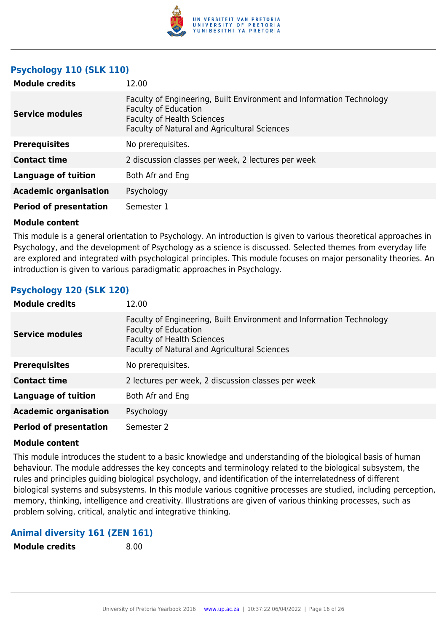

# **Psychology 110 (SLK 110)**

| <b>Module credits</b>         | 12.00                                                                                                                                                                                           |
|-------------------------------|-------------------------------------------------------------------------------------------------------------------------------------------------------------------------------------------------|
| <b>Service modules</b>        | Faculty of Engineering, Built Environment and Information Technology<br><b>Faculty of Education</b><br><b>Faculty of Health Sciences</b><br><b>Faculty of Natural and Agricultural Sciences</b> |
| <b>Prerequisites</b>          | No prerequisites.                                                                                                                                                                               |
| <b>Contact time</b>           | 2 discussion classes per week, 2 lectures per week                                                                                                                                              |
| <b>Language of tuition</b>    | Both Afr and Eng                                                                                                                                                                                |
| <b>Academic organisation</b>  | Psychology                                                                                                                                                                                      |
| <b>Period of presentation</b> | Semester 1                                                                                                                                                                                      |

#### **Module content**

This module is a general orientation to Psychology. An introduction is given to various theoretical approaches in Psychology, and the development of Psychology as a science is discussed. Selected themes from everyday life are explored and integrated with psychological principles. This module focuses on major personality theories. An introduction is given to various paradigmatic approaches in Psychology.

# **Psychology 120 (SLK 120)**

| <b>Module credits</b>         | 12.00                                                                                                                                                                                    |
|-------------------------------|------------------------------------------------------------------------------------------------------------------------------------------------------------------------------------------|
| <b>Service modules</b>        | Faculty of Engineering, Built Environment and Information Technology<br><b>Faculty of Education</b><br><b>Faculty of Health Sciences</b><br>Faculty of Natural and Agricultural Sciences |
| <b>Prerequisites</b>          | No prerequisites.                                                                                                                                                                        |
| <b>Contact time</b>           | 2 lectures per week, 2 discussion classes per week                                                                                                                                       |
| <b>Language of tuition</b>    | Both Afr and Eng                                                                                                                                                                         |
| <b>Academic organisation</b>  | Psychology                                                                                                                                                                               |
| <b>Period of presentation</b> | Semester 2                                                                                                                                                                               |

#### **Module content**

This module introduces the student to a basic knowledge and understanding of the biological basis of human behaviour. The module addresses the key concepts and terminology related to the biological subsystem, the rules and principles guiding biological psychology, and identification of the interrelatedness of different biological systems and subsystems. In this module various cognitive processes are studied, including perception, memory, thinking, intelligence and creativity. Illustrations are given of various thinking processes, such as problem solving, critical, analytic and integrative thinking.

# **Animal diversity 161 (ZEN 161)**

**Module credits** 8.00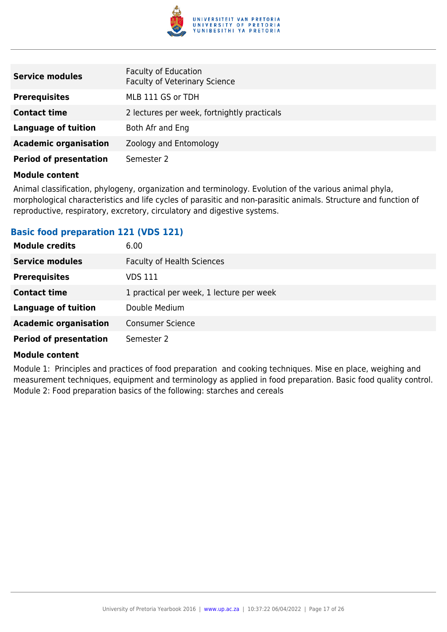

| <b>Service modules</b>        | <b>Faculty of Education</b><br><b>Faculty of Veterinary Science</b> |
|-------------------------------|---------------------------------------------------------------------|
| <b>Prerequisites</b>          | MLB 111 GS or TDH                                                   |
| <b>Contact time</b>           | 2 lectures per week, fortnightly practicals                         |
| <b>Language of tuition</b>    | Both Afr and Eng                                                    |
| <b>Academic organisation</b>  | Zoology and Entomology                                              |
| <b>Period of presentation</b> | Semester 2                                                          |

Animal classification, phylogeny, organization and terminology. Evolution of the various animal phyla, morphological characteristics and life cycles of parasitic and non-parasitic animals. Structure and function of reproductive, respiratory, excretory, circulatory and digestive systems.

# **Basic food preparation 121 (VDS 121)**

| <b>Module credits</b>         | 6.00                                     |
|-------------------------------|------------------------------------------|
| <b>Service modules</b>        | <b>Faculty of Health Sciences</b>        |
| <b>Prerequisites</b>          | VDS 111                                  |
| <b>Contact time</b>           | 1 practical per week, 1 lecture per week |
| <b>Language of tuition</b>    | Double Medium                            |
| <b>Academic organisation</b>  | <b>Consumer Science</b>                  |
| <b>Period of presentation</b> | Semester 2                               |

#### **Module content**

Module 1: Principles and practices of food preparation and cooking techniques. Mise en place, weighing and measurement techniques, equipment and terminology as applied in food preparation. Basic food quality control. Module 2: Food preparation basics of the following: starches and cereals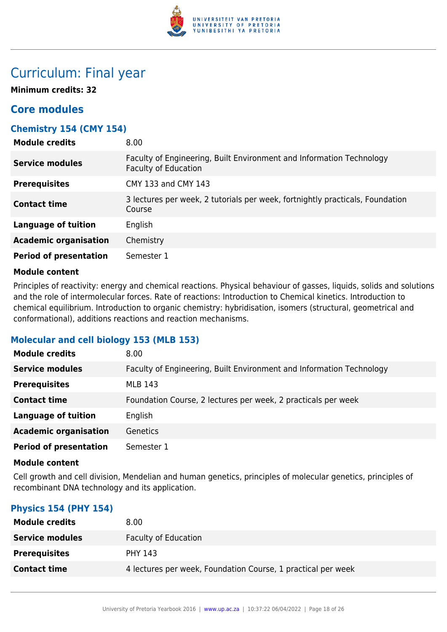

# Curriculum: Final year

**Minimum credits: 32**

# **Core modules**

# **Chemistry 154 (CMY 154)**

| <b>Module credits</b>         | 8.00                                                                                                |
|-------------------------------|-----------------------------------------------------------------------------------------------------|
| <b>Service modules</b>        | Faculty of Engineering, Built Environment and Information Technology<br><b>Faculty of Education</b> |
| <b>Prerequisites</b>          | CMY 133 and CMY 143                                                                                 |
| <b>Contact time</b>           | 3 lectures per week, 2 tutorials per week, fortnightly practicals, Foundation<br>Course             |
| <b>Language of tuition</b>    | English                                                                                             |
| <b>Academic organisation</b>  | Chemistry                                                                                           |
| <b>Period of presentation</b> | Semester 1                                                                                          |

## **Module content**

Principles of reactivity: energy and chemical reactions. Physical behaviour of gasses, liquids, solids and solutions and the role of intermolecular forces. Rate of reactions: Introduction to Chemical kinetics. Introduction to chemical equilibrium. Introduction to organic chemistry: hybridisation, isomers (structural, geometrical and conformational), additions reactions and reaction mechanisms.

# **Molecular and cell biology 153 (MLB 153)**

| <b>Module credits</b>         | 8.00                                                                 |
|-------------------------------|----------------------------------------------------------------------|
| <b>Service modules</b>        | Faculty of Engineering, Built Environment and Information Technology |
| <b>Prerequisites</b>          | <b>MLB 143</b>                                                       |
| <b>Contact time</b>           | Foundation Course, 2 lectures per week, 2 practicals per week        |
| <b>Language of tuition</b>    | English                                                              |
| <b>Academic organisation</b>  | <b>Genetics</b>                                                      |
| <b>Period of presentation</b> | Semester 1                                                           |

#### **Module content**

Cell growth and cell division, Mendelian and human genetics, principles of molecular genetics, principles of recombinant DNA technology and its application.

# **Physics 154 (PHY 154)**

| <b>Module credits</b>  | 8.00                                                         |
|------------------------|--------------------------------------------------------------|
| <b>Service modules</b> | <b>Faculty of Education</b>                                  |
| <b>Prerequisites</b>   | <b>PHY 143</b>                                               |
| <b>Contact time</b>    | 4 lectures per week, Foundation Course, 1 practical per week |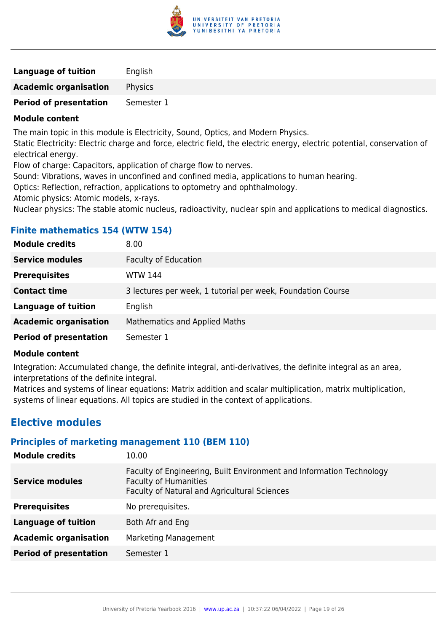

| <b>Language of tuition</b>    | English    |
|-------------------------------|------------|
| <b>Academic organisation</b>  | Physics    |
| <b>Period of presentation</b> | Semester 1 |

The main topic in this module is Electricity, Sound, Optics, and Modern Physics.

Static Electricity: Electric charge and force, electric field, the electric energy, electric potential, conservation of electrical energy.

Flow of charge: Capacitors, application of charge flow to nerves.

Sound: Vibrations, waves in unconfined and confined media, applications to human hearing.

Optics: Reflection, refraction, applications to optometry and ophthalmology.

Atomic physics: Atomic models, x-rays.

Nuclear physics: The stable atomic nucleus, radioactivity, nuclear spin and applications to medical diagnostics.

| <b>Module credits</b>         | 8.00                                                        |
|-------------------------------|-------------------------------------------------------------|
| <b>Service modules</b>        | <b>Faculty of Education</b>                                 |
| <b>Prerequisites</b>          | <b>WTW 144</b>                                              |
| <b>Contact time</b>           | 3 lectures per week, 1 tutorial per week, Foundation Course |
| <b>Language of tuition</b>    | English                                                     |
| <b>Academic organisation</b>  | <b>Mathematics and Applied Maths</b>                        |
| <b>Period of presentation</b> | Semester 1                                                  |
|                               |                                                             |

# **Finite mathematics 154 (WTW 154)**

## **Module content**

Integration: Accumulated change, the definite integral, anti-derivatives, the definite integral as an area, interpretations of the definite integral.

Matrices and systems of linear equations: Matrix addition and scalar multiplication, matrix multiplication, systems of linear equations. All topics are studied in the context of applications.

# **Elective modules**

# **Principles of marketing management 110 (BEM 110)**

| <b>Module credits</b>         | 10.00                                                                                                                                                |
|-------------------------------|------------------------------------------------------------------------------------------------------------------------------------------------------|
| <b>Service modules</b>        | Faculty of Engineering, Built Environment and Information Technology<br><b>Faculty of Humanities</b><br>Faculty of Natural and Agricultural Sciences |
| <b>Prerequisites</b>          | No prerequisites.                                                                                                                                    |
| <b>Language of tuition</b>    | Both Afr and Eng                                                                                                                                     |
| <b>Academic organisation</b>  | Marketing Management                                                                                                                                 |
| <b>Period of presentation</b> | Semester 1                                                                                                                                           |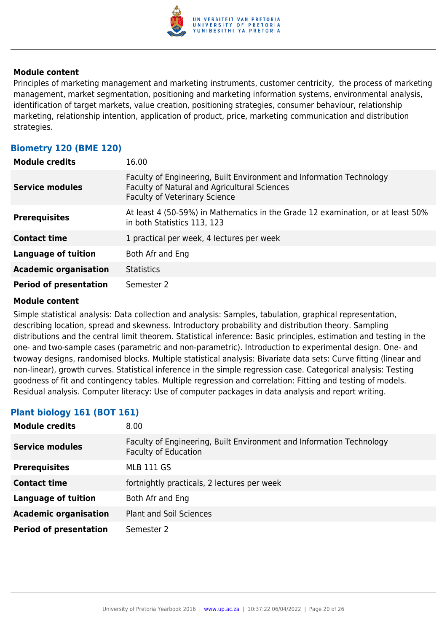

Principles of marketing management and marketing instruments, customer centricity, the process of marketing management, market segmentation, positioning and marketing information systems, environmental analysis, identification of target markets, value creation, positioning strategies, consumer behaviour, relationship marketing, relationship intention, application of product, price, marketing communication and distribution strategies.

# **Biometry 120 (BME 120)**

| <b>Module credits</b>         | 16.00                                                                                                                                                        |
|-------------------------------|--------------------------------------------------------------------------------------------------------------------------------------------------------------|
| <b>Service modules</b>        | Faculty of Engineering, Built Environment and Information Technology<br>Faculty of Natural and Agricultural Sciences<br><b>Faculty of Veterinary Science</b> |
| <b>Prerequisites</b>          | At least 4 (50-59%) in Mathematics in the Grade 12 examination, or at least 50%<br>in both Statistics 113, 123                                               |
| <b>Contact time</b>           | 1 practical per week, 4 lectures per week                                                                                                                    |
| <b>Language of tuition</b>    | Both Afr and Eng                                                                                                                                             |
| <b>Academic organisation</b>  | <b>Statistics</b>                                                                                                                                            |
| <b>Period of presentation</b> | Semester 2                                                                                                                                                   |

#### **Module content**

Simple statistical analysis: Data collection and analysis: Samples, tabulation, graphical representation, describing location, spread and skewness. Introductory probability and distribution theory. Sampling distributions and the central limit theorem. Statistical inference: Basic principles, estimation and testing in the one- and two-sample cases (parametric and non-parametric). Introduction to experimental design. One- and twoway designs, randomised blocks. Multiple statistical analysis: Bivariate data sets: Curve fitting (linear and non-linear), growth curves. Statistical inference in the simple regression case. Categorical analysis: Testing goodness of fit and contingency tables. Multiple regression and correlation: Fitting and testing of models. Residual analysis. Computer literacy: Use of computer packages in data analysis and report writing.

# **Plant biology 161 (BOT 161)**

| <b>Module credits</b>         | 8.00                                                                                                |
|-------------------------------|-----------------------------------------------------------------------------------------------------|
| Service modules               | Faculty of Engineering, Built Environment and Information Technology<br><b>Faculty of Education</b> |
| <b>Prerequisites</b>          | <b>MLB 111 GS</b>                                                                                   |
| <b>Contact time</b>           | fortnightly practicals, 2 lectures per week                                                         |
| <b>Language of tuition</b>    | Both Afr and Eng                                                                                    |
| <b>Academic organisation</b>  | <b>Plant and Soil Sciences</b>                                                                      |
| <b>Period of presentation</b> | Semester 2                                                                                          |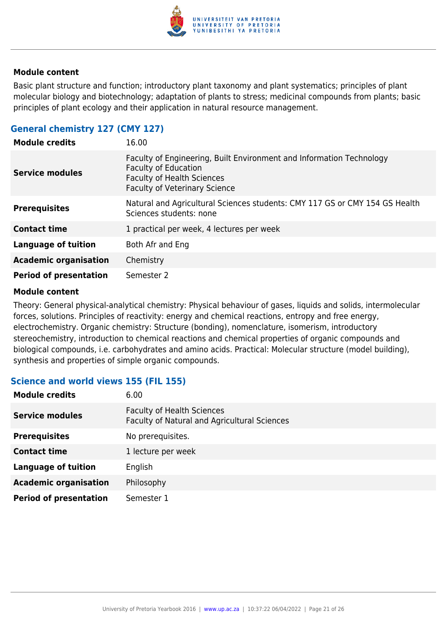

Basic plant structure and function; introductory plant taxonomy and plant systematics; principles of plant molecular biology and biotechnology; adaptation of plants to stress; medicinal compounds from plants; basic principles of plant ecology and their application in natural resource management.

# **General chemistry 127 (CMY 127)**

| <b>Module credits</b>         | 16.00                                                                                                                                                                            |
|-------------------------------|----------------------------------------------------------------------------------------------------------------------------------------------------------------------------------|
| <b>Service modules</b>        | Faculty of Engineering, Built Environment and Information Technology<br><b>Faculty of Education</b><br><b>Faculty of Health Sciences</b><br><b>Faculty of Veterinary Science</b> |
| <b>Prerequisites</b>          | Natural and Agricultural Sciences students: CMY 117 GS or CMY 154 GS Health<br>Sciences students: none                                                                           |
| <b>Contact time</b>           | 1 practical per week, 4 lectures per week                                                                                                                                        |
| <b>Language of tuition</b>    | Both Afr and Eng                                                                                                                                                                 |
| <b>Academic organisation</b>  | Chemistry                                                                                                                                                                        |
| <b>Period of presentation</b> | Semester 2                                                                                                                                                                       |

#### **Module content**

Theory: General physical-analytical chemistry: Physical behaviour of gases, liquids and solids, intermolecular forces, solutions. Principles of reactivity: energy and chemical reactions, entropy and free energy, electrochemistry. Organic chemistry: Structure (bonding), nomenclature, isomerism, introductory stereochemistry, introduction to chemical reactions and chemical properties of organic compounds and biological compounds, i.e. carbohydrates and amino acids. Practical: Molecular structure (model building), synthesis and properties of simple organic compounds.

# **Science and world views 155 (FIL 155)**

| <b>Module credits</b>         | 6.00                                                                              |
|-------------------------------|-----------------------------------------------------------------------------------|
| <b>Service modules</b>        | <b>Faculty of Health Sciences</b><br>Faculty of Natural and Agricultural Sciences |
| <b>Prerequisites</b>          | No prerequisites.                                                                 |
| <b>Contact time</b>           | 1 lecture per week                                                                |
| <b>Language of tuition</b>    | English                                                                           |
| <b>Academic organisation</b>  | Philosophy                                                                        |
| <b>Period of presentation</b> | Semester 1                                                                        |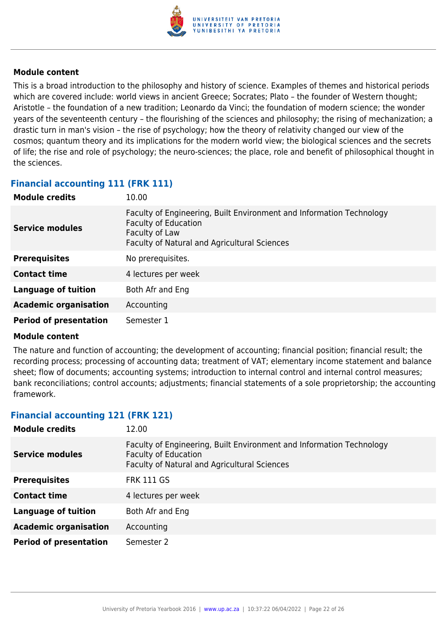

This is a broad introduction to the philosophy and history of science. Examples of themes and historical periods which are covered include: world views in ancient Greece; Socrates; Plato – the founder of Western thought; Aristotle – the foundation of a new tradition; Leonardo da Vinci; the foundation of modern science; the wonder years of the seventeenth century – the flourishing of the sciences and philosophy; the rising of mechanization; a drastic turn in man's vision – the rise of psychology; how the theory of relativity changed our view of the cosmos; quantum theory and its implications for the modern world view; the biological sciences and the secrets of life; the rise and role of psychology; the neuro-sciences; the place, role and benefit of philosophical thought in the sciences.

# **Financial accounting 111 (FRK 111)**

| <b>Module credits</b>         | 10.00                                                                                                                                                                 |
|-------------------------------|-----------------------------------------------------------------------------------------------------------------------------------------------------------------------|
| <b>Service modules</b>        | Faculty of Engineering, Built Environment and Information Technology<br><b>Faculty of Education</b><br>Faculty of Law<br>Faculty of Natural and Agricultural Sciences |
| <b>Prerequisites</b>          | No prerequisites.                                                                                                                                                     |
| <b>Contact time</b>           | 4 lectures per week                                                                                                                                                   |
| <b>Language of tuition</b>    | Both Afr and Eng                                                                                                                                                      |
| <b>Academic organisation</b>  | Accounting                                                                                                                                                            |
| <b>Period of presentation</b> | Semester 1                                                                                                                                                            |

#### **Module content**

The nature and function of accounting; the development of accounting; financial position; financial result; the recording process; processing of accounting data; treatment of VAT; elementary income statement and balance sheet; flow of documents; accounting systems; introduction to internal control and internal control measures; bank reconciliations; control accounts; adjustments; financial statements of a sole proprietorship; the accounting framework.

# **Financial accounting 121 (FRK 121)**

| <b>Module credits</b>         | 12.00                                                                                                                                               |
|-------------------------------|-----------------------------------------------------------------------------------------------------------------------------------------------------|
| <b>Service modules</b>        | Faculty of Engineering, Built Environment and Information Technology<br><b>Faculty of Education</b><br>Faculty of Natural and Agricultural Sciences |
| <b>Prerequisites</b>          | <b>FRK 111 GS</b>                                                                                                                                   |
| <b>Contact time</b>           | 4 lectures per week                                                                                                                                 |
| <b>Language of tuition</b>    | Both Afr and Eng                                                                                                                                    |
| <b>Academic organisation</b>  | Accounting                                                                                                                                          |
| <b>Period of presentation</b> | Semester 2                                                                                                                                          |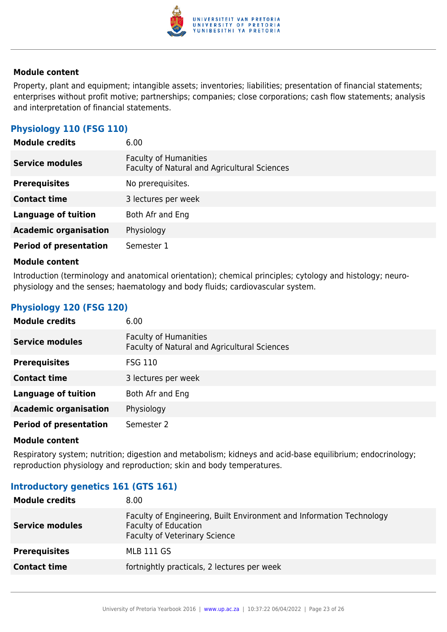

Property, plant and equipment; intangible assets; inventories; liabilities; presentation of financial statements; enterprises without profit motive; partnerships; companies; close corporations; cash flow statements; analysis and interpretation of financial statements.

# **Physiology 110 (FSG 110)**

| <b>Module credits</b>         | 6.00                                                                         |
|-------------------------------|------------------------------------------------------------------------------|
| <b>Service modules</b>        | <b>Faculty of Humanities</b><br>Faculty of Natural and Agricultural Sciences |
| <b>Prerequisites</b>          | No prerequisites.                                                            |
| <b>Contact time</b>           | 3 lectures per week                                                          |
| <b>Language of tuition</b>    | Both Afr and Eng                                                             |
| <b>Academic organisation</b>  | Physiology                                                                   |
| <b>Period of presentation</b> | Semester 1                                                                   |

#### **Module content**

Introduction (terminology and anatomical orientation); chemical principles; cytology and histology; neurophysiology and the senses; haematology and body fluids; cardiovascular system.

# **Physiology 120 (FSG 120)**

| <b>Module credits</b>         | 6.00                                                                         |
|-------------------------------|------------------------------------------------------------------------------|
| <b>Service modules</b>        | <b>Faculty of Humanities</b><br>Faculty of Natural and Agricultural Sciences |
| <b>Prerequisites</b>          | <b>FSG 110</b>                                                               |
| <b>Contact time</b>           | 3 lectures per week                                                          |
| <b>Language of tuition</b>    | Both Afr and Eng                                                             |
| <b>Academic organisation</b>  | Physiology                                                                   |
| <b>Period of presentation</b> | Semester 2                                                                   |

#### **Module content**

Respiratory system; nutrition; digestion and metabolism; kidneys and acid-base equilibrium; endocrinology; reproduction physiology and reproduction; skin and body temperatures.

## **Introductory genetics 161 (GTS 161)**

| <b>Module credits</b>  | 8.00                                                                                                                                        |
|------------------------|---------------------------------------------------------------------------------------------------------------------------------------------|
| <b>Service modules</b> | Faculty of Engineering, Built Environment and Information Technology<br><b>Faculty of Education</b><br><b>Faculty of Veterinary Science</b> |
| <b>Prerequisites</b>   | MLB 111 GS                                                                                                                                  |
| <b>Contact time</b>    | fortnightly practicals, 2 lectures per week                                                                                                 |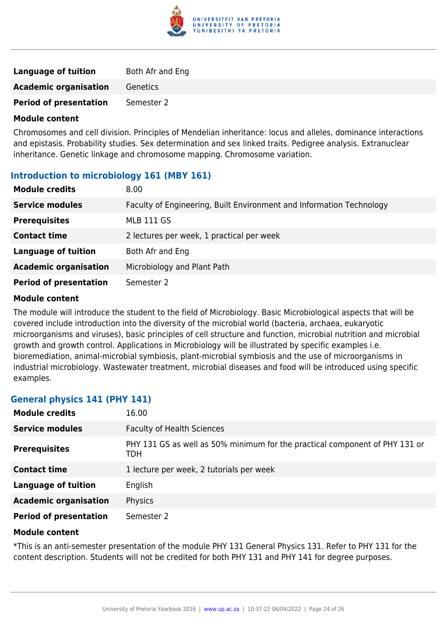

| Language of tuition           | Both Afr and Eng |
|-------------------------------|------------------|
| <b>Academic organisation</b>  | Genetics         |
| <b>Period of presentation</b> | Semester 2       |

Chromosomes and cell division. Principles of Mendelian inheritance: locus and alleles, dominance interactions and epistasis. Probability studies. Sex determination and sex linked traits. Pedigree analysis. Extranuclear inheritance. Genetic linkage and chromosome mapping. Chromosome variation.

# **Introduction to microbiology 161 (MBY 161)**

| <b>Module credits</b>         | 8.00                                                                 |
|-------------------------------|----------------------------------------------------------------------|
| <b>Service modules</b>        | Faculty of Engineering, Built Environment and Information Technology |
| <b>Prerequisites</b>          | <b>MLB 111 GS</b>                                                    |
| <b>Contact time</b>           | 2 lectures per week, 1 practical per week                            |
| <b>Language of tuition</b>    | Both Afr and Eng                                                     |
| <b>Academic organisation</b>  | Microbiology and Plant Path                                          |
| <b>Period of presentation</b> | Semester 2                                                           |

#### **Module content**

The module will introduce the student to the field of Microbiology. Basic Microbiological aspects that will be covered include introduction into the diversity of the microbial world (bacteria, archaea, eukaryotic microorganisms and viruses), basic principles of cell structure and function, microbial nutrition and microbial growth and growth control. Applications in Microbiology will be illustrated by specific examples i.e. bioremediation, animal-microbial symbiosis, plant-microbial symbiosis and the use of microorganisms in industrial microbiology. Wastewater treatment, microbial diseases and food will be introduced using specific examples.

## **General physics 141 (PHY 141)**

| <b>Module credits</b>         | 16.00                                                                              |
|-------------------------------|------------------------------------------------------------------------------------|
| <b>Service modules</b>        | <b>Faculty of Health Sciences</b>                                                  |
| <b>Prerequisites</b>          | PHY 131 GS as well as 50% minimum for the practical component of PHY 131 or<br>TDH |
| <b>Contact time</b>           | 1 lecture per week, 2 tutorials per week                                           |
| <b>Language of tuition</b>    | English                                                                            |
| <b>Academic organisation</b>  | Physics                                                                            |
| <b>Period of presentation</b> | Semester 2                                                                         |

#### **Module content**

\*This is an anti-semester presentation of the module PHY 131 General Physics 131. Refer to PHY 131 for the content description. Students will not be credited for both PHY 131 and PHY 141 for degree purposes.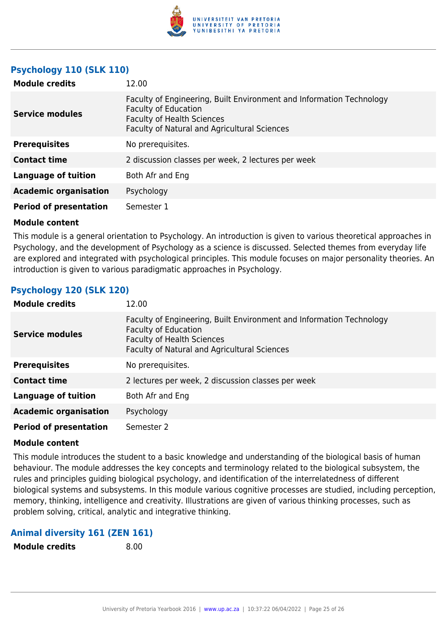

# **Psychology 110 (SLK 110)**

| <b>Module credits</b>         | 12.00                                                                                                                                                                                    |
|-------------------------------|------------------------------------------------------------------------------------------------------------------------------------------------------------------------------------------|
| <b>Service modules</b>        | Faculty of Engineering, Built Environment and Information Technology<br><b>Faculty of Education</b><br><b>Faculty of Health Sciences</b><br>Faculty of Natural and Agricultural Sciences |
| <b>Prerequisites</b>          | No prerequisites.                                                                                                                                                                        |
| <b>Contact time</b>           | 2 discussion classes per week, 2 lectures per week                                                                                                                                       |
| Language of tuition           | Both Afr and Eng                                                                                                                                                                         |
| <b>Academic organisation</b>  | Psychology                                                                                                                                                                               |
| <b>Period of presentation</b> | Semester 1                                                                                                                                                                               |

#### **Module content**

This module is a general orientation to Psychology. An introduction is given to various theoretical approaches in Psychology, and the development of Psychology as a science is discussed. Selected themes from everyday life are explored and integrated with psychological principles. This module focuses on major personality theories. An introduction is given to various paradigmatic approaches in Psychology.

# **Psychology 120 (SLK 120)**

| <b>Module credits</b>         | 12.00                                                                                                                                                                                    |
|-------------------------------|------------------------------------------------------------------------------------------------------------------------------------------------------------------------------------------|
| <b>Service modules</b>        | Faculty of Engineering, Built Environment and Information Technology<br><b>Faculty of Education</b><br><b>Faculty of Health Sciences</b><br>Faculty of Natural and Agricultural Sciences |
| <b>Prerequisites</b>          | No prerequisites.                                                                                                                                                                        |
| <b>Contact time</b>           | 2 lectures per week, 2 discussion classes per week                                                                                                                                       |
| <b>Language of tuition</b>    | Both Afr and Eng                                                                                                                                                                         |
| <b>Academic organisation</b>  | Psychology                                                                                                                                                                               |
| <b>Period of presentation</b> | Semester 2                                                                                                                                                                               |

#### **Module content**

This module introduces the student to a basic knowledge and understanding of the biological basis of human behaviour. The module addresses the key concepts and terminology related to the biological subsystem, the rules and principles guiding biological psychology, and identification of the interrelatedness of different biological systems and subsystems. In this module various cognitive processes are studied, including perception, memory, thinking, intelligence and creativity. Illustrations are given of various thinking processes, such as problem solving, critical, analytic and integrative thinking.

# **Animal diversity 161 (ZEN 161)**

**Module credits** 8.00